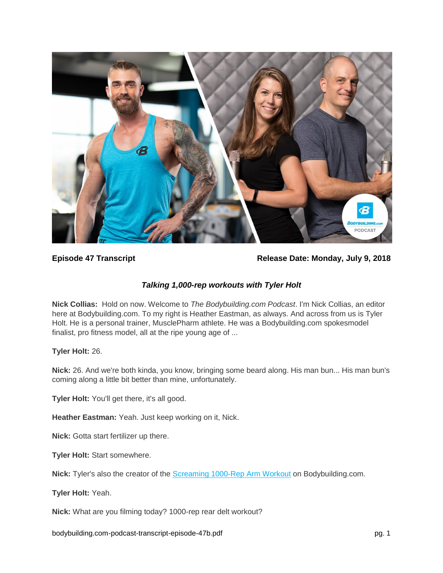

**Episode 47 Transcript Release Date: Monday, July 9, 2018**

## *Talking 1,000-rep workouts with Tyler Holt*

**Nick Collias:** Hold on now. Welcome to *The Bodybuilding.com Podcast*. I'm Nick Collias, an editor here at Bodybuilding.com. To my right is Heather Eastman, as always. And across from us is Tyler Holt. He is a personal trainer, MusclePharm athlete. He was a Bodybuilding.com spokesmodel finalist, pro fitness model, all at the ripe young age of ...

**Tyler Holt:** 26.

**Nick:** 26. And we're both kinda, you know, bringing some beard along. His man bun... His man bun's coming along a little bit better than mine, unfortunately.

**Tyler Holt:** You'll get there, it's all good.

**Heather Eastman:** Yeah. Just keep working on it, Nick.

**Nick:** Gotta start fertilizer up there.

**Tyler Holt:** Start somewhere.

**Nick:** Tyler's also the creator of the [Screaming 1000-Rep Arm Workout](https://www.bodybuilding.com/content/screaming-1000-rep-arm-workout.html) on Bodybuilding.com.

**Tyler Holt:** Yeah.

**Nick:** What are you filming today? 1000-rep rear delt workout?

bodybuilding.com-podcast-transcript-episode-47b.pdf pg. 1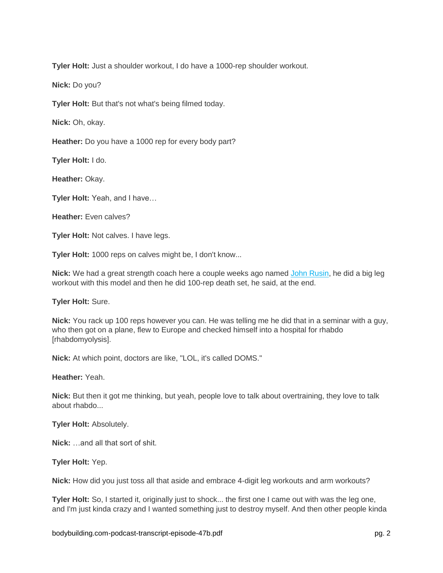**Tyler Holt:** Just a shoulder workout, I do have a 1000-rep shoulder workout.

**Nick:** Do you?

**Tyler Holt:** But that's not what's being filmed today.

**Nick:** Oh, okay.

**Heather:** Do you have a 1000 rep for every body part?

**Tyler Holt:** I do.

**Heather:** Okay.

**Tyler Holt:** Yeah, and I have…

**Heather:** Even calves?

**Tyler Holt:** Not calves. I have legs.

**Tyler Holt:** 1000 reps on calves might be, I don't know...

**Nick:** We had a great strength coach here a couple weeks ago named [John Rusin,](https://www.bodybuilding.com/fun/podcast-episode-19-how-to-earn-your-best-ever-back-squat.html) he did a big leg workout with this model and then he did 100-rep death set, he said, at the end.

**Tyler Holt:** Sure.

**Nick:** You rack up 100 reps however you can. He was telling me he did that in a seminar with a guy, who then got on a plane, flew to Europe and checked himself into a hospital for rhabdo [rhabdomyolysis].

**Nick:** At which point, doctors are like, "LOL, it's called DOMS."

**Heather:** Yeah.

**Nick:** But then it got me thinking, but yeah, people love to talk about overtraining, they love to talk about rhabdo...

**Tyler Holt:** Absolutely.

**Nick:** …and all that sort of shit.

**Tyler Holt:** Yep.

**Nick:** How did you just toss all that aside and embrace 4-digit leg workouts and arm workouts?

**Tyler Holt:** So, I started it, originally just to shock... the first one I came out with was the leg one, and I'm just kinda crazy and I wanted something just to destroy myself. And then other people kinda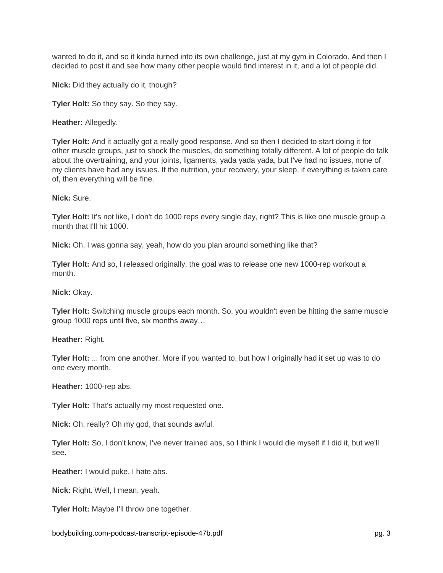wanted to do it, and so it kinda turned into its own challenge, just at my gym in Colorado. And then I decided to post it and see how many other people would find interest in it, and a lot of people did.

**Nick:** Did they actually do it, though?

**Tyler Holt:** So they say. So they say.

**Heather:** Allegedly.

**Tyler Holt:** And it actually got a really good response. And so then I decided to start doing it for other muscle groups, just to shock the muscles, do something totally different. A lot of people do talk about the overtraining, and your joints, ligaments, yada yada yada, but I've had no issues, none of my clients have had any issues. If the nutrition, your recovery, your sleep, if everything is taken care of, then everything will be fine.

**Nick:** Sure.

**Tyler Holt:** It's not like, I don't do 1000 reps every single day, right? This is like one muscle group a month that I'll hit 1000.

**Nick:** Oh, I was gonna say, yeah, how do you plan around something like that?

**Tyler Holt:** And so, I released originally, the goal was to release one new 1000-rep workout a month.

**Nick:** Okay.

**Tyler Holt:** Switching muscle groups each month. So, you wouldn't even be hitting the same muscle group 1000 reps until five, six months away…

**Heather:** Right.

**Tyler Holt:** ... from one another. More if you wanted to, but how I originally had it set up was to do one every month.

**Heather:** 1000-rep abs.

**Tyler Holt:** That's actually my most requested one.

**Nick:** Oh, really? Oh my god, that sounds awful.

**Tyler Holt:** So, I don't know, I've never trained abs, so I think I would die myself if I did it, but we'll see.

**Heather:** I would puke. I hate abs.

**Nick:** Right. Well, I mean, yeah.

**Tyler Holt:** Maybe I'll throw one together.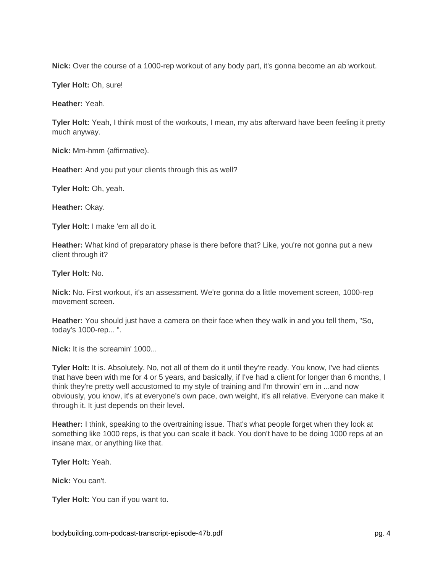**Nick:** Over the course of a 1000-rep workout of any body part, it's gonna become an ab workout.

**Tyler Holt:** Oh, sure!

**Heather:** Yeah.

**Tyler Holt:** Yeah, I think most of the workouts, I mean, my abs afterward have been feeling it pretty much anyway.

**Nick:** Mm-hmm (affirmative).

**Heather:** And you put your clients through this as well?

**Tyler Holt:** Oh, yeah.

**Heather:** Okay.

**Tyler Holt:** I make 'em all do it.

**Heather:** What kind of preparatory phase is there before that? Like, you're not gonna put a new client through it?

**Tyler Holt:** No.

**Nick:** No. First workout, it's an assessment. We're gonna do a little movement screen, 1000-rep movement screen.

**Heather:** You should just have a camera on their face when they walk in and you tell them, "So, today's 1000-rep... ".

**Nick:** It is the screamin' 1000...

**Tyler Holt:** It is. Absolutely. No, not all of them do it until they're ready. You know, I've had clients that have been with me for 4 or 5 years, and basically, if I've had a client for longer than 6 months, I think they're pretty well accustomed to my style of training and I'm throwin' em in ...and now obviously, you know, it's at everyone's own pace, own weight, it's all relative. Everyone can make it through it. It just depends on their level.

**Heather:** I think, speaking to the overtraining issue. That's what people forget when they look at something like 1000 reps, is that you can scale it back. You don't have to be doing 1000 reps at an insane max, or anything like that.

**Tyler Holt:** Yeah.

**Nick:** You can't.

**Tyler Holt:** You can if you want to.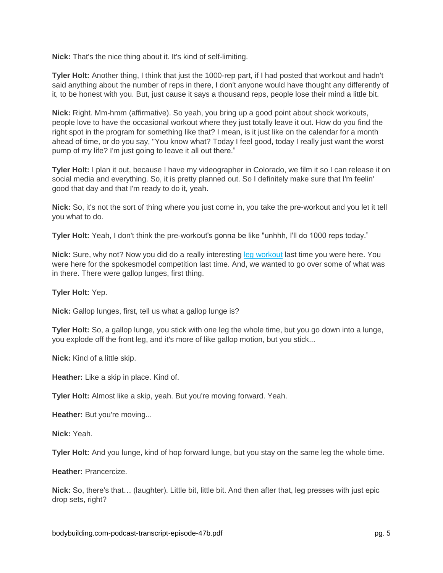**Nick:** That's the nice thing about it. It's kind of self-limiting.

**Tyler Holt:** Another thing, I think that just the 1000-rep part, if I had posted that workout and hadn't said anything about the number of reps in there, I don't anyone would have thought any differently of it, to be honest with you. But, just cause it says a thousand reps, people lose their mind a little bit.

**Nick:** Right. Mm-hmm (affirmative). So yeah, you bring up a good point about shock workouts, people love to have the occasional workout where they just totally leave it out. How do you find the right spot in the program for something like that? I mean, is it just like on the calendar for a month ahead of time, or do you say, "You know what? Today I feel good, today I really just want the worst pump of my life? I'm just going to leave it all out there."

**Tyler Holt:** I plan it out, because I have my videographer in Colorado, we film it so I can release it on social media and everything. So, it is pretty planned out. So I definitely make sure that I'm feelin' good that day and that I'm ready to do it, yeah.

**Nick:** So, it's not the sort of thing where you just come in, you take the pre-workout and you let it tell you what to do.

**Tyler Holt:** Yeah, I don't think the pre-workout's gonna be like "unhhh, I'll do 1000 reps today."

**Nick:** Sure, why not? Now you did do a really interesting [leg workout](https://www.youtube.com/watch?v=Qp-yX0Avg0k) last time you were here. You were here for the spokesmodel competition last time. And, we wanted to go over some of what was in there. There were gallop lunges, first thing.

**Tyler Holt:** Yep.

**Nick:** Gallop lunges, first, tell us what a gallop lunge is?

**Tyler Holt:** So, a gallop lunge, you stick with one leg the whole time, but you go down into a lunge, you explode off the front leg, and it's more of like gallop motion, but you stick...

**Nick:** Kind of a little skip.

**Heather:** Like a skip in place. Kind of.

**Tyler Holt:** Almost like a skip, yeah. But you're moving forward. Yeah.

**Heather:** But you're moving...

**Nick:** Yeah.

**Tyler Holt:** And you lunge, kind of hop forward lunge, but you stay on the same leg the whole time.

**Heather:** Prancercize.

**Nick:** So, there's that… (laughter). Little bit, little bit. And then after that, leg presses with just epic drop sets, right?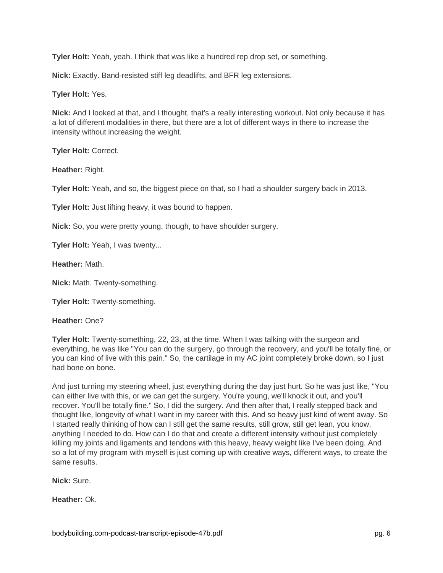**Tyler Holt:** Yeah, yeah. I think that was like a hundred rep drop set, or something.

**Nick:** Exactly. Band-resisted stiff leg deadlifts, and BFR leg extensions.

**Tyler Holt:** Yes.

**Nick:** And I looked at that, and I thought, that's a really interesting workout. Not only because it has a lot of different modalities in there, but there are a lot of different ways in there to increase the intensity without increasing the weight.

**Tyler Holt:** Correct.

**Heather:** Right.

**Tyler Holt:** Yeah, and so, the biggest piece on that, so I had a shoulder surgery back in 2013.

**Tyler Holt:** Just lifting heavy, it was bound to happen.

**Nick:** So, you were pretty young, though, to have shoulder surgery.

**Tyler Holt:** Yeah, I was twenty...

**Heather:** Math.

**Nick:** Math. Twenty-something.

**Tyler Holt:** Twenty-something.

**Heather:** One?

**Tyler Holt:** Twenty-something, 22, 23, at the time. When I was talking with the surgeon and everything, he was like "You can do the surgery, go through the recovery, and you'll be totally fine, or you can kind of live with this pain." So, the cartilage in my AC joint completely broke down, so I just had bone on bone.

And just turning my steering wheel, just everything during the day just hurt. So he was just like, "You can either live with this, or we can get the surgery. You're young, we'll knock it out, and you'll recover. You'll be totally fine." So, I did the surgery. And then after that, I really stepped back and thought like, longevity of what I want in my career with this. And so heavy just kind of went away. So I started really thinking of how can I still get the same results, still grow, still get lean, you know, anything I needed to do. How can I do that and create a different intensity without just completely killing my joints and ligaments and tendons with this heavy, heavy weight like I've been doing. And so a lot of my program with myself is just coming up with creative ways, different ways, to create the same results.

**Nick:** Sure.

**Heather:** Ok.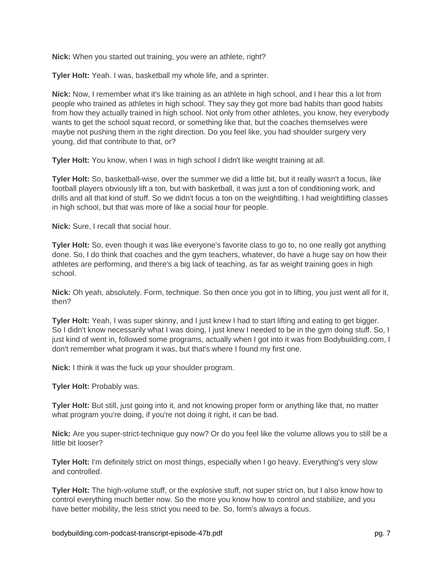**Nick:** When you started out training, you were an athlete, right?

**Tyler Holt:** Yeah. I was, basketball my whole life, and a sprinter.

**Nick:** Now, I remember what it's like training as an athlete in high school, and I hear this a lot from people who trained as athletes in high school. They say they got more bad habits than good habits from how they actually trained in high school. Not only from other athletes, you know, hey everybody wants to get the school squat record, or something like that, but the coaches themselves were maybe not pushing them in the right direction. Do you feel like, you had shoulder surgery very young, did that contribute to that, or?

**Tyler Holt:** You know, when I was in high school I didn't like weight training at all.

**Tyler Holt:** So, basketball-wise, over the summer we did a little bit, but it really wasn't a focus, like football players obviously lift a ton, but with basketball, it was just a ton of conditioning work, and drills and all that kind of stuff. So we didn't focus a ton on the weightlifting. I had weightlifting classes in high school, but that was more of like a social hour for people.

**Nick:** Sure, I recall that social hour.

**Tyler Holt:** So, even though it was like everyone's favorite class to go to, no one really got anything done. So, I do think that coaches and the gym teachers, whatever, do have a huge say on how their athletes are performing, and there's a big lack of teaching, as far as weight training goes in high school.

**Nick:** Oh yeah, absolutely. Form, technique. So then once you got in to lifting, you just went all for it, then?

**Tyler Holt:** Yeah, I was super skinny, and I just knew I had to start lifting and eating to get bigger. So I didn't know necessarily what I was doing, I just knew I needed to be in the gym doing stuff. So, I just kind of went in, followed some programs, actually when I got into it was from Bodybuilding.com, I don't remember what program it was, but that's where I found my first one.

**Nick:** I think it was the fuck up your shoulder program.

**Tyler Holt:** Probably was.

**Tyler Holt:** But still, just going into it, and not knowing proper form or anything like that, no matter what program you're doing, if you're not doing it right, it can be bad.

**Nick:** Are you super-strict-technique guy now? Or do you feel like the volume allows you to still be a little bit looser?

**Tyler Holt:** I'm definitely strict on most things, especially when I go heavy. Everything's very slow and controlled.

**Tyler Holt:** The high-volume stuff, or the explosive stuff, not super strict on, but I also know how to control everything much better now. So the more you know how to control and stabilize, and you have better mobility, the less strict you need to be. So, form's always a focus.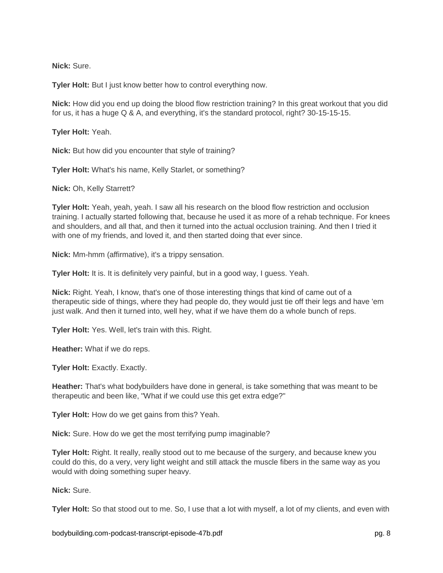**Nick:** Sure.

**Tyler Holt:** But I just know better how to control everything now.

**Nick:** How did you end up doing the blood flow restriction training? In this great workout that you did for us, it has a huge Q & A, and everything, it's the standard protocol, right? 30-15-15-15.

**Tyler Holt:** Yeah.

**Nick:** But how did you encounter that style of training?

**Tyler Holt:** What's his name, Kelly Starlet, or something?

**Nick:** Oh, Kelly Starrett?

**Tyler Holt:** Yeah, yeah, yeah. I saw all his research on the blood flow restriction and occlusion training. I actually started following that, because he used it as more of a rehab technique. For knees and shoulders, and all that, and then it turned into the actual occlusion training. And then I tried it with one of my friends, and loved it, and then started doing that ever since.

**Nick:** Mm-hmm (affirmative), it's a trippy sensation.

**Tyler Holt:** It is. It is definitely very painful, but in a good way, I guess. Yeah.

**Nick:** Right. Yeah, I know, that's one of those interesting things that kind of came out of a therapeutic side of things, where they had people do, they would just tie off their legs and have 'em just walk. And then it turned into, well hey, what if we have them do a whole bunch of reps.

**Tyler Holt:** Yes. Well, let's train with this. Right.

**Heather:** What if we do reps.

**Tyler Holt:** Exactly. Exactly.

**Heather:** That's what bodybuilders have done in general, is take something that was meant to be therapeutic and been like, "What if we could use this get extra edge?"

**Tyler Holt:** How do we get gains from this? Yeah.

**Nick:** Sure. How do we get the most terrifying pump imaginable?

**Tyler Holt:** Right. It really, really stood out to me because of the surgery, and because knew you could do this, do a very, very light weight and still attack the muscle fibers in the same way as you would with doing something super heavy.

**Nick:** Sure.

**Tyler Holt:** So that stood out to me. So, I use that a lot with myself, a lot of my clients, and even with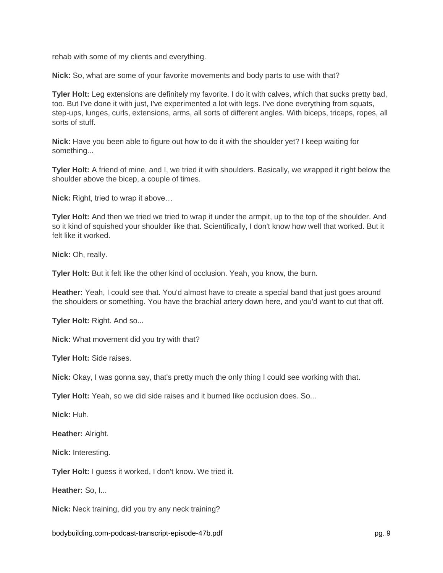rehab with some of my clients and everything.

**Nick:** So, what are some of your favorite movements and body parts to use with that?

**Tyler Holt:** Leg extensions are definitely my favorite. I do it with calves, which that sucks pretty bad, too. But I've done it with just, I've experimented a lot with legs. I've done everything from squats, step-ups, lunges, curls, extensions, arms, all sorts of different angles. With biceps, triceps, ropes, all sorts of stuff.

**Nick:** Have you been able to figure out how to do it with the shoulder yet? I keep waiting for something...

**Tyler Holt:** A friend of mine, and I, we tried it with shoulders. Basically, we wrapped it right below the shoulder above the bicep, a couple of times.

**Nick:** Right, tried to wrap it above…

**Tyler Holt:** And then we tried we tried to wrap it under the armpit, up to the top of the shoulder. And so it kind of squished your shoulder like that. Scientifically, I don't know how well that worked. But it felt like it worked.

**Nick:** Oh, really.

**Tyler Holt:** But it felt like the other kind of occlusion. Yeah, you know, the burn.

**Heather:** Yeah, I could see that. You'd almost have to create a special band that just goes around the shoulders or something. You have the brachial artery down here, and you'd want to cut that off.

**Tyler Holt: Right. And so...** 

**Nick:** What movement did you try with that?

**Tyler Holt:** Side raises.

**Nick:** Okay, I was gonna say, that's pretty much the only thing I could see working with that.

**Tyler Holt:** Yeah, so we did side raises and it burned like occlusion does. So...

**Nick:** Huh.

**Heather:** Alright.

**Nick:** Interesting.

**Tyler Holt:** I guess it worked, I don't know. We tried it.

**Heather:** So, I...

**Nick:** Neck training, did you try any neck training?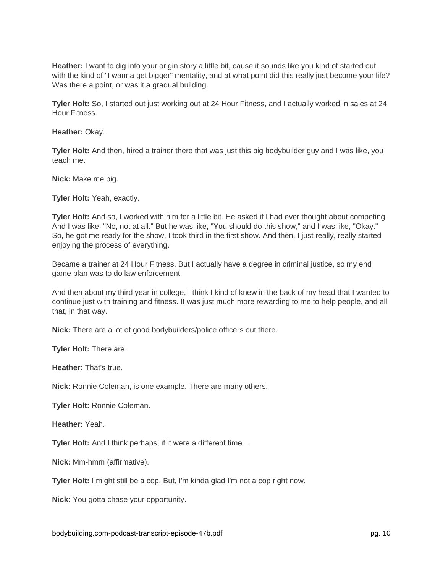**Heather:** I want to dig into your origin story a little bit, cause it sounds like you kind of started out with the kind of "I wanna get bigger" mentality, and at what point did this really just become your life? Was there a point, or was it a gradual building.

**Tyler Holt:** So, I started out just working out at 24 Hour Fitness, and I actually worked in sales at 24 Hour Fitness.

**Heather:** Okay.

**Tyler Holt:** And then, hired a trainer there that was just this big bodybuilder guy and I was like, you teach me.

**Nick:** Make me big.

**Tyler Holt:** Yeah, exactly.

**Tyler Holt:** And so, I worked with him for a little bit. He asked if I had ever thought about competing. And I was like, "No, not at all." But he was like, "You should do this show," and I was like, "Okay." So, he got me ready for the show, I took third in the first show. And then, I just really, really started enjoying the process of everything.

Became a trainer at 24 Hour Fitness. But I actually have a degree in criminal justice, so my end game plan was to do law enforcement.

And then about my third year in college, I think I kind of knew in the back of my head that I wanted to continue just with training and fitness. It was just much more rewarding to me to help people, and all that, in that way.

**Nick:** There are a lot of good bodybuilders/police officers out there.

**Tyler Holt:** There are.

**Heather:** That's true.

**Nick:** Ronnie Coleman, is one example. There are many others.

**Tyler Holt:** Ronnie Coleman.

**Heather:** Yeah.

**Tyler Holt:** And I think perhaps, if it were a different time…

**Nick:** Mm-hmm (affirmative).

**Tyler Holt:** I might still be a cop. But, I'm kinda glad I'm not a cop right now.

**Nick:** You gotta chase your opportunity.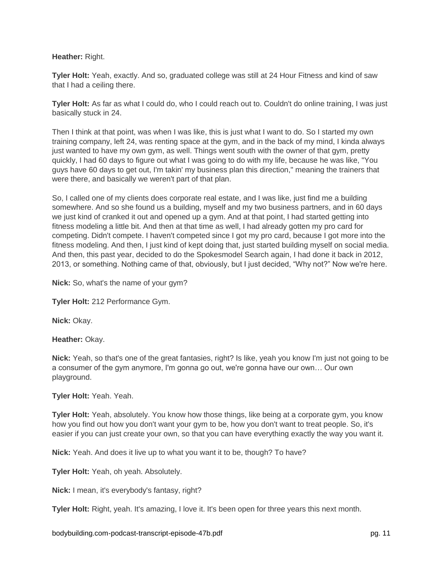## **Heather:** Right.

**Tyler Holt:** Yeah, exactly. And so, graduated college was still at 24 Hour Fitness and kind of saw that I had a ceiling there.

**Tyler Holt:** As far as what I could do, who I could reach out to. Couldn't do online training, I was just basically stuck in 24.

Then I think at that point, was when I was like, this is just what I want to do. So I started my own training company, left 24, was renting space at the gym, and in the back of my mind, I kinda always just wanted to have my own gym, as well. Things went south with the owner of that gym, pretty quickly, I had 60 days to figure out what I was going to do with my life, because he was like, "You guys have 60 days to get out, I'm takin' my business plan this direction," meaning the trainers that were there, and basically we weren't part of that plan.

So, I called one of my clients does corporate real estate, and I was like, just find me a building somewhere. And so she found us a building, myself and my two business partners, and in 60 days we just kind of cranked it out and opened up a gym. And at that point, I had started getting into fitness modeling a little bit. And then at that time as well, I had already gotten my pro card for competing. Didn't compete. I haven't competed since I got my pro card, because I got more into the fitness modeling. And then, I just kind of kept doing that, just started building myself on social media. And then, this past year, decided to do the Spokesmodel Search again, I had done it back in 2012, 2013, or something. Nothing came of that, obviously, but I just decided, "Why not?" Now we're here.

**Nick:** So, what's the name of your gym?

**Tyler Holt:** 212 Performance Gym.

**Nick:** Okay.

**Heather:** Okay.

**Nick:** Yeah, so that's one of the great fantasies, right? Is like, yeah you know I'm just not going to be a consumer of the gym anymore, I'm gonna go out, we're gonna have our own… Our own playground.

**Tyler Holt:** Yeah. Yeah.

**Tyler Holt:** Yeah, absolutely. You know how those things, like being at a corporate gym, you know how you find out how you don't want your gym to be, how you don't want to treat people. So, it's easier if you can just create your own, so that you can have everything exactly the way you want it.

**Nick:** Yeah. And does it live up to what you want it to be, though? To have?

**Tyler Holt:** Yeah, oh yeah. Absolutely.

**Nick:** I mean, it's everybody's fantasy, right?

**Tyler Holt:** Right, yeah. It's amazing, I love it. It's been open for three years this next month.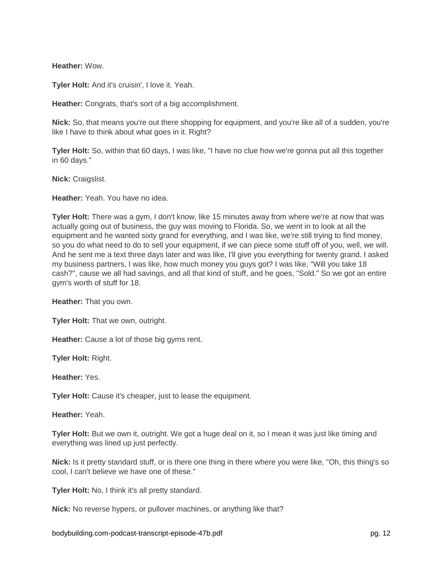**Heather:** Wow.

**Tyler Holt:** And it's cruisin', I love it. Yeah.

**Heather:** Congrats, that's sort of a big accomplishment.

**Nick:** So, that means you're out there shopping for equipment, and you're like all of a sudden, you're like I have to think about what goes in it. Right?

**Tyler Holt:** So, within that 60 days, I was like, "I have no clue how we're gonna put all this together in 60 days."

**Nick:** Craigslist.

**Heather:** Yeah. You have no idea.

**Tyler Holt:** There was a gym, I don't know, like 15 minutes away from where we're at now that was actually going out of business, the guy was moving to Florida. So, we went in to look at all the equipment and he wanted sixty grand for everything, and I was like, we're still trying to find money, so you do what need to do to sell your equipment, if we can piece some stuff off of you, well, we will. And he sent me a text three days later and was like, I'll give you everything for twenty grand. I asked my business partners, I was like, how much money you guys got? I was like, "Will you take 18 cash?", cause we all had savings, and all that kind of stuff, and he goes, "Sold." So we got an entire gym's worth of stuff for 18.

**Heather:** That you own.

**Tyler Holt:** That we own, outright.

**Heather:** Cause a lot of those big gyms rent.

**Tyler Holt:** Right.

**Heather:** Yes.

**Tyler Holt:** Cause it's cheaper, just to lease the equipment.

**Heather:** Yeah.

**Tyler Holt:** But we own it, outright. We got a huge deal on it, so I mean it was just like timing and everything was lined up just perfectly.

**Nick:** Is it pretty standard stuff, or is there one thing in there where you were like, "Oh, this thing's so cool, I can't believe we have one of these."

**Tyler Holt:** No, I think it's all pretty standard.

**Nick:** No reverse hypers, or pullover machines, or anything like that?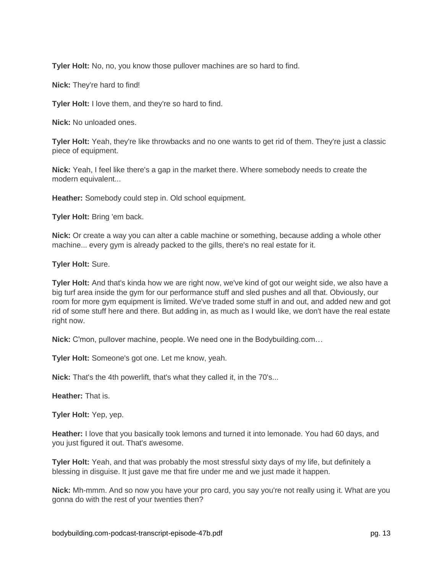**Tyler Holt:** No, no, you know those pullover machines are so hard to find.

**Nick:** They're hard to find!

**Tyler Holt:** I love them, and they're so hard to find.

**Nick:** No unloaded ones.

**Tyler Holt:** Yeah, they're like throwbacks and no one wants to get rid of them. They're just a classic piece of equipment.

**Nick:** Yeah, I feel like there's a gap in the market there. Where somebody needs to create the modern equivalent...

**Heather:** Somebody could step in. Old school equipment.

**Tyler Holt:** Bring 'em back.

**Nick:** Or create a way you can alter a cable machine or something, because adding a whole other machine... every gym is already packed to the gills, there's no real estate for it.

**Tyler Holt:** Sure.

**Tyler Holt:** And that's kinda how we are right now, we've kind of got our weight side, we also have a big turf area inside the gym for our performance stuff and sled pushes and all that. Obviously, our room for more gym equipment is limited. We've traded some stuff in and out, and added new and got rid of some stuff here and there. But adding in, as much as I would like, we don't have the real estate right now.

**Nick:** C'mon, pullover machine, people. We need one in the Bodybuilding.com…

**Tyler Holt:** Someone's got one. Let me know, yeah.

**Nick:** That's the 4th powerlift, that's what they called it, in the 70's...

**Heather:** That is.

**Tyler Holt:** Yep, yep.

**Heather:** I love that you basically took lemons and turned it into lemonade. You had 60 days, and you just figured it out. That's awesome.

**Tyler Holt:** Yeah, and that was probably the most stressful sixty days of my life, but definitely a blessing in disguise. It just gave me that fire under me and we just made it happen.

**Nick:** Mh-mmm. And so now you have your pro card, you say you're not really using it. What are you gonna do with the rest of your twenties then?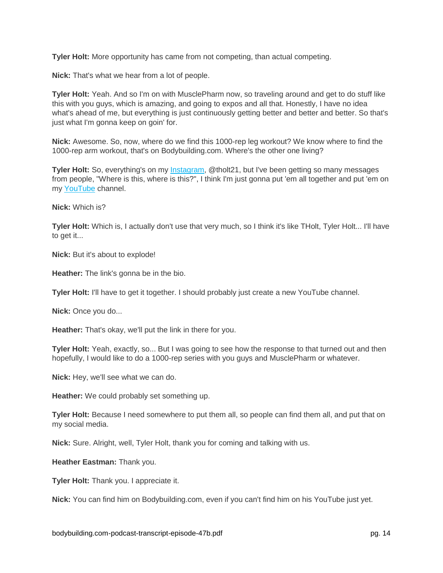**Tyler Holt:** More opportunity has came from not competing, than actual competing.

**Nick:** That's what we hear from a lot of people.

**Tyler Holt:** Yeah. And so I'm on with MusclePharm now, so traveling around and get to do stuff like this with you guys, which is amazing, and going to expos and all that. Honestly, I have no idea what's ahead of me, but everything is just continuously getting better and better and better. So that's just what I'm gonna keep on goin' for.

**Nick:** Awesome. So, now, where do we find this 1000-rep leg workout? We know where to find the 1000-rep arm workout, that's on Bodybuilding.com. Where's the other one living?

**Tyler Holt:** So, everything's on my [Instagram,](https://www.instagram.com/tholt21/) @tholt21, but I've been getting so many messages from people, "Where is this, where is this?", I think I'm just gonna put 'em all together and put 'em on my [YouTube](https://www.youtube.com/channel/UCVRXqVMqL5fwjv6kKgvu3Mg) channel.

**Nick:** Which is?

**Tyler Holt:** Which is, I actually don't use that very much, so I think it's like THolt, Tyler Holt... I'll have to get it...

**Nick:** But it's about to explode!

**Heather:** The link's gonna be in the bio.

**Tyler Holt:** I'll have to get it together. I should probably just create a new YouTube channel.

**Nick:** Once you do...

**Heather:** That's okay, we'll put the link in there for you.

**Tyler Holt:** Yeah, exactly, so... But I was going to see how the response to that turned out and then hopefully, I would like to do a 1000-rep series with you guys and MusclePharm or whatever.

**Nick:** Hey, we'll see what we can do.

**Heather:** We could probably set something up.

**Tyler Holt:** Because I need somewhere to put them all, so people can find them all, and put that on my social media.

**Nick:** Sure. Alright, well, Tyler Holt, thank you for coming and talking with us.

**Heather Eastman:** Thank you.

**Tyler Holt:** Thank you. I appreciate it.

**Nick:** You can find him on Bodybuilding.com, even if you can't find him on his YouTube just yet.